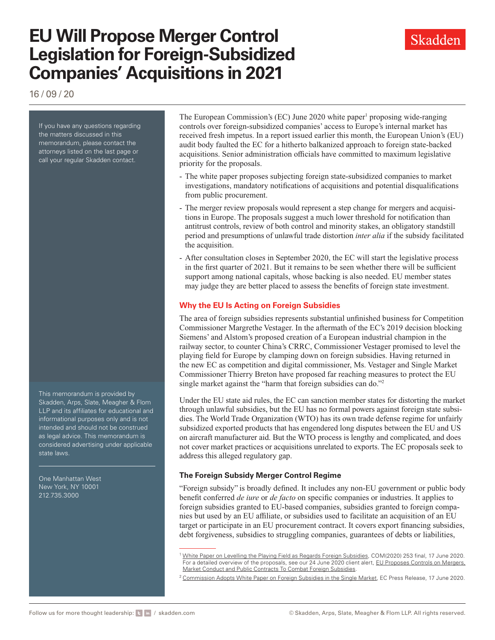# **EU Will Propose Merger Control Legislation for Foreign-Subsidized Companies' Acquisitions in 2021**

16 / 09 / 20

If you have any questions regarding the matters discussed in this memorandum, please contact the attorneys listed on the last page or call your regular Skadden contact.

This memorandum is provided by Skadden, Arps, Slate, Meagher & Flom LLP and its affiliates for educational and informational purposes only and is not intended and should not be construed as legal advice. This memorandum is considered advertising under applicable state laws.

One Manhattan West New York, NY 10001 212.735.3000

The European Commission's (EC) June 2020 white paper<sup>1</sup> proposing wide-ranging controls over foreign-subsidized companies' access to Europe's internal market has received fresh impetus. In a report issued earlier this month, the European Union's (EU) audit body faulted the EC for a hitherto balkanized approach to foreign state-backed acquisitions. Senior administration officials have committed to maximum legislative priority for the proposals.

- The white paper proposes subjecting foreign state-subsidized companies to market investigations, mandatory notifications of acquisitions and potential disqualifications from public procurement.
- The merger review proposals would represent a step change for mergers and acquisitions in Europe. The proposals suggest a much lower threshold for notification than antitrust controls, review of both control and minority stakes, an obligatory standstill period and presumptions of unlawful trade distortion *inter alia* if the subsidy facilitated the acquisition.
- After consultation closes in September 2020, the EC will start the legislative process in the first quarter of 2021. But it remains to be seen whether there will be sufficient support among national capitals, whose backing is also needed. EU member states may judge they are better placed to assess the benefits of foreign state investment.

## **Why the EU Is Acting on Foreign Subsidies**

The area of foreign subsidies represents substantial unfinished business for Competition Commissioner Margrethe Vestager. In the aftermath of the EC's 2019 decision blocking Siemens' and Alstom's proposed creation of a European industrial champion in the railway sector, to counter China's CRRC, Commissioner Vestager promised to level the playing field for Europe by clamping down on foreign subsidies. Having returned in the new EC as competition and digital commissioner, Ms. Vestager and Single Market Commissioner Thierry Breton have proposed far reaching measures to protect the EU single market against the "harm that foreign subsidies can do."2

Under the EU state aid rules, the EC can sanction member states for distorting the market through unlawful subsidies, but the EU has no formal powers against foreign state subsidies. The World Trade Organization (WTO) has its own trade defense regime for unfairly subsidized exported products that has engendered long disputes between the EU and US on aircraft manufacturer aid. But the WTO process is lengthy and complicated, and does not cover market practices or acquisitions unrelated to exports. The EC proposals seek to address this alleged regulatory gap.

## **The Foreign Subsidy Merger Control Regime**

"Foreign subsidy" is broadly defined. It includes any non-EU government or public body benefit conferred *de iure* or *de facto* on specific companies or industries. It applies to foreign subsidies granted to EU-based companies, subsidies granted to foreign companies but used by an EU affiliate, or subsidies used to facilitate an acquisition of an EU target or participate in an EU procurement contract. It covers export financing subsidies, debt forgiveness, subsidies to struggling companies, guarantees of debts or liabilities,

<sup>&</sup>lt;sup>1</sup> [White Paper on Levelling the Playing Field as Regards Foreign Subsidies](https://www.skadden.com/-/media/files/publications/2020/09/eu-will-press-forward-with-merger-control-rules/fn1_foreign_subsidies_white_paper.pdf?la=en), COM(2020) 253 final, 17 June 2020. For a detailed overview of the proposals, see our 24 June 2020 client alert, EU Proposes Controls on Mergers, [Market Conduct and Public Contracts To Combat Foreign Subsidies.](https://www.skadden.com/insights/publications/2020/06/eu-proposes-controls)

<sup>&</sup>lt;sup>2</sup> [Commission Adopts White Paper on Foreign Subsidies in the Single Market](https://ec.europa.eu/commission/presscorner/detail/en/ip_20_1070), EC Press Release, 17 June 2020.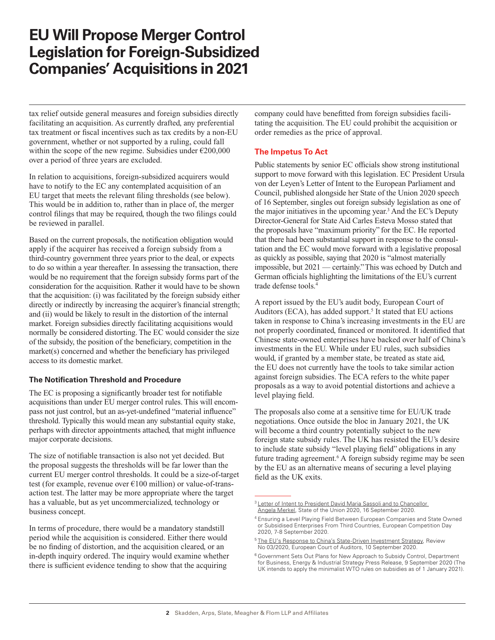## **EU Will Propose Merger Control Legislation for Foreign-Subsidized Companies' Acquisitions in 2021**

tax relief outside general measures and foreign subsidies directly facilitating an acquisition. As currently drafted, any preferential tax treatment or fiscal incentives such as tax credits by a non-EU government, whether or not supported by a ruling, could fall within the scope of the new regime. Subsidies under  $\epsilon$ 200,000 over a period of three years are excluded.

In relation to acquisitions, foreign-subsidized acquirers would have to notify to the EC any contemplated acquisition of an EU target that meets the relevant filing thresholds (see below). This would be in addition to, rather than in place of, the merger control filings that may be required, though the two filings could be reviewed in parallel.

Based on the current proposals, the notification obligation would apply if the acquirer has received a foreign subsidy from a third-country government three years prior to the deal, or expects to do so within a year thereafter. In assessing the transaction, there would be no requirement that the foreign subsidy forms part of the consideration for the acquisition. Rather it would have to be shown that the acquisition: (i) was facilitated by the foreign subsidy either directly or indirectly by increasing the acquirer's financial strength; and (ii) would be likely to result in the distortion of the internal market. Foreign subsidies directly facilitating acquisitions would normally be considered distorting. The EC would consider the size of the subsidy, the position of the beneficiary, competition in the market(s) concerned and whether the beneficiary has privileged access to its domestic market.

#### **The Notification Threshold and Procedure**

The EC is proposing a significantly broader test for notifiable acquisitions than under EU merger control rules. This will encompass not just control, but an as-yet-undefined "material influence" threshold. Typically this would mean any substantial equity stake, perhaps with director appointments attached, that might influence major corporate decisions.

The size of notifiable transaction is also not yet decided. But the proposal suggests the thresholds will be far lower than the current EU merger control thresholds. It could be a size-of-target test (for example, revenue over  $E100$  million) or value-of-transaction test. The latter may be more appropriate where the target has a valuable, but as yet uncommercialized, technology or business concept.

In terms of procedure, there would be a mandatory standstill period while the acquisition is considered. Either there would be no finding of distortion, and the acquisition cleared, or an in-depth inquiry ordered. The inquiry would examine whether there is sufficient evidence tending to show that the acquiring

company could have benefitted from foreign subsidies facilitating the acquisition. The EU could prohibit the acquisition or order remedies as the price of approval.

## **The Impetus To Act**

Public statements by senior EC officials show strong institutional support to move forward with this legislation. EC President Ursula von der Leyen's Letter of Intent to the European Parliament and Council, published alongside her State of the Union 2020 speech of 16 September, singles out foreign subsidy legislation as one of the major initiatives in the upcoming year.<sup>3</sup> And the EC's Deputy Director-General for State Aid Carles Esteva Mosso stated that the proposals have "maximum priority" for the EC. He reported that there had been substantial support in response to the consultation and the EC would move forward with a legislative proposal as quickly as possible, saying that 2020 is "almost materially impossible, but 2021 — certainly." This was echoed by Dutch and German officials highlighting the limitations of the EU's current trade defense tools.4

A report issued by the EU's audit body, European Court of Auditors (ECA), has added support.<sup>5</sup> It stated that EU actions taken in response to China's increasing investments in the EU are not properly coordinated, financed or monitored. It identified that Chinese state-owned enterprises have backed over half of China's investments in the EU. While under EU rules, such subsidies would, if granted by a member state, be treated as state aid, the EU does not currently have the tools to take similar action against foreign subsidies. The ECA refers to the white paper proposals as a way to avoid potential distortions and achieve a level playing field.

The proposals also come at a sensitive time for EU/UK trade negotiations. Once outside the bloc in January 2021, the UK will become a third country potentially subject to the new foreign state subsidy rules. The UK has resisted the EU's desire to include state subsidy "level playing field" obligations in any future trading agreement.<sup>6</sup> A foreign subsidy regime may be seen by the EU as an alternative means of securing a level playing field as the UK exits.

<sup>&</sup>lt;sup>3</sup> Letter of Intent to President David Maria Sassoli and to Chancellor [Angela Merkel](https://www.skadden.com/-/media/files/publications/2020/09/eu-will-press-forward-with-merger-control-rules/fn3_state_of_the_union_2020_letter_of_intent_en.pdf?la=en), State of the Union 2020, 16 September 2020.

<sup>4</sup> Ensuring a Level Playing Field Between European Companies and State Owned or Subsidised Enterprises From Third Countries, European Competition Day 2020, 7-8 September 2020.

<sup>&</sup>lt;sup>5</sup> [The EU's Response to China's State-Driven Investment Strategy](https://www.eca.europa.eu/en/Pages/DocItem.aspx?did=54733), Review No 03/2020, European Court of Auditors, 10 September 2020.

<sup>6</sup> Government Sets Out Plans for New Approach to Subsidy Control, Department for Business, Energy & Industrial Strategy Press Release, 9 September 2020 (The UK intends to apply the minimalist WTO rules on subsidies as of 1 January 2021).